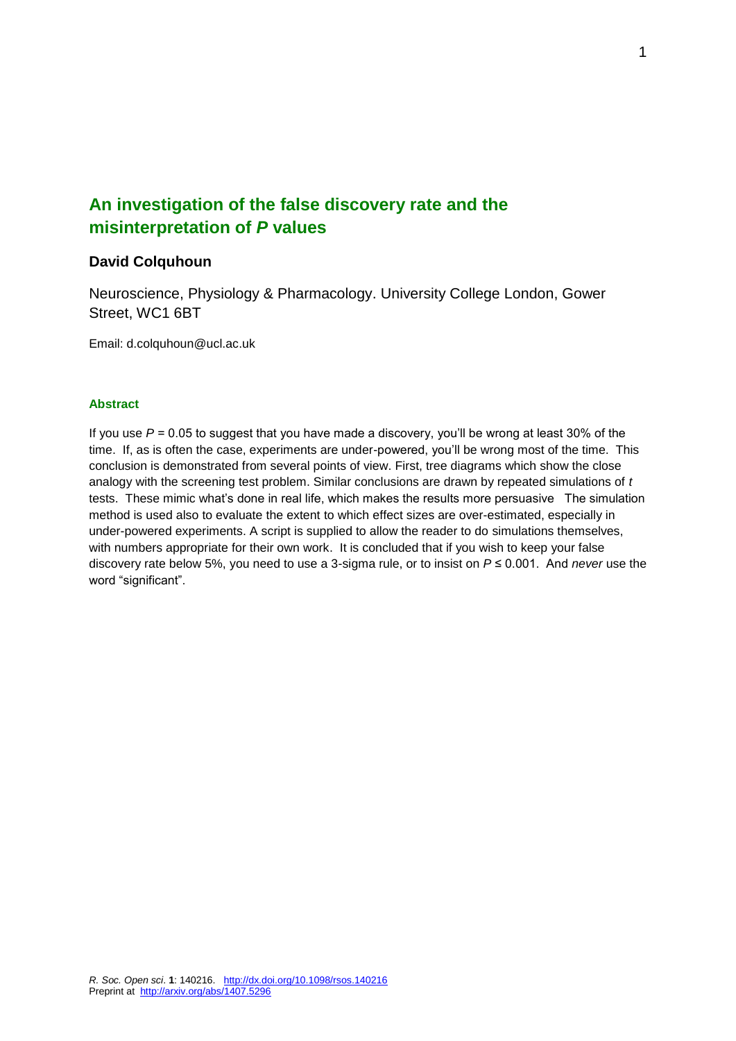# **An investigation of the false discovery rate and the misinterpretation of** *P* **values**

## **David Colquhoun**

Neuroscience, Physiology & Pharmacology. University College London, Gower Street, WC1 6BT

Email: d.colquhoun@ucl.ac.uk

### **Abstract**

If you use *P* = 0.05 to suggest that you have made a discovery, you'll be wrong at least 30% of the time. If, as is often the case, experiments are under-powered, you'll be wrong most of the time. This conclusion is demonstrated from several points of view. First, tree diagrams which show the close analogy with the screening test problem. Similar conclusions are drawn by repeated simulations of *t* tests. These mimic what's done in real life, which makes the results more persuasive The simulation method is used also to evaluate the extent to which effect sizes are over-estimated, especially in under-powered experiments. A script is supplied to allow the reader to do simulations themselves, with numbers appropriate for their own work. It is concluded that if you wish to keep your false discovery rate below 5%, you need to use a 3-sigma rule, or to insist on *P* ≤ 0.001. And *never* use the word "significant".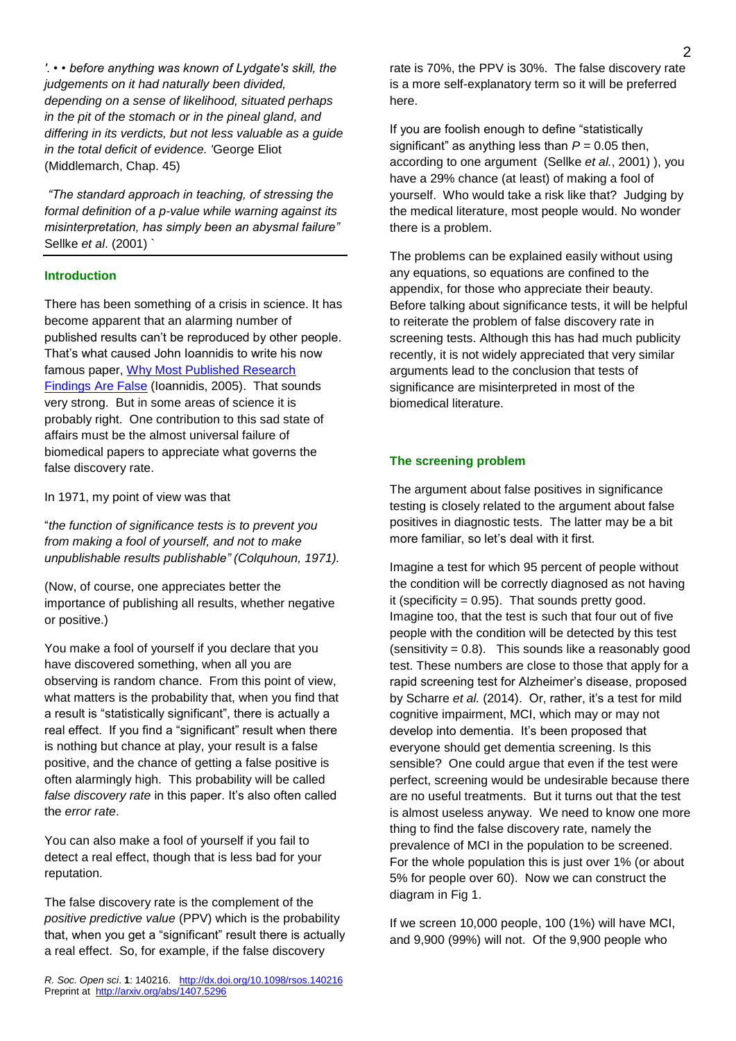*'. • • before anything was known of Lydgate's skill, the judgements on it had naturally been divided, depending on a sense of likelihood, situated perhaps in the pit of the stomach or in the pineal gland, and differing in its verdicts, but not less valuable as a guide in the total deficit of evidence. '*George Eliot (Middlemarch, Chap. 45)

*"The standard approach in teaching, of stressing the formal definition of a p-value while warning against its misinterpretation, has simply been an abysmal failure"*  Sellke *et al*. (2001) `

### **Introduction**

There has been something of a crisis in science. It has become apparent that an alarming number of published results can't be reproduced by other people. That's what caused John Ioannidis to write his now famous paper, [Why Most Published Research](http://www.plosmedicine.org/article/info:doi/10.1371/journal.pmed.0020124)  [Findings Are False](http://www.plosmedicine.org/article/info:doi/10.1371/journal.pmed.0020124) (Ioannidis, 2005). That sounds very strong. But in some areas of science it is probably right. One contribution to this sad state of affairs must be the almost universal failure of biomedical papers to appreciate what governs the false discovery rate.

In 1971, my point of view was that

"*the function of significance tests is to prevent you from making a fool of yourself, and not to make unpublishable results publishable" (Colquhoun, 1971).*

(Now, of course, one appreciates better the importance of publishing all results, whether negative or positive.)

You make a fool of yourself if you declare that you have discovered something, when all you are observing is random chance. From this point of view, what matters is the probability that, when you find that a result is "statistically significant", there is actually a real effect. If you find a "significant" result when there is nothing but chance at play, your result is a false positive, and the chance of getting a false positive is often alarmingly high. This probability will be called *false discovery rate* in this paper. It's also often called the *error rate*.

You can also make a fool of yourself if you fail to detect a real effect, though that is less bad for your reputation.

The false discovery rate is the complement of the *positive predictive value* (PPV) which is the probability that, when you get a "significant" result there is actually a real effect. So, for example, if the false discovery

*R. Soc. Open sci*. **1**: 140216. <http://dx.doi.org/10.1098/rsos.140216> Preprint at<http://arxiv.org/abs/1407.5296>

rate is 70%, the PPV is 30%. The false discovery rate is a more self-explanatory term so it will be preferred here.

If you are foolish enough to define "statistically significant" as anything less than  $P = 0.05$  then. according to one argument (Sellke *et al.*, 2001) ), you have a 29% chance (at least) of making a fool of yourself. Who would take a risk like that? Judging by the medical literature, most people would. No wonder there is a problem.

The problems can be explained easily without using any equations, so equations are confined to the appendix, for those who appreciate their beauty. Before talking about significance tests, it will be helpful to reiterate the problem of false discovery rate in screening tests. Although this has had much publicity recently, it is not widely appreciated that very similar arguments lead to the conclusion that tests of significance are misinterpreted in most of the biomedical literature.

#### **The screening problem**

The argument about false positives in significance testing is closely related to the argument about false positives in diagnostic tests. The latter may be a bit more familiar, so let's deal with it first.

Imagine a test for which 95 percent of people without the condition will be correctly diagnosed as not having it (specificity  $= 0.95$ ). That sounds pretty good. Imagine too, that the test is such that four out of five people with the condition will be detected by this test (sensitivity  $= 0.8$ ). This sounds like a reasonably good test. These numbers are close to those that apply for a rapid screening test for Alzheimer's disease, proposed by Scharre *et al.* (2014). Or, rather, it's a test for [mild](http://www.alzheimers.org.uk/site/scripts/documents_info.php?documentID=120)  [cognitive impairment,](http://www.alzheimers.org.uk/site/scripts/documents_info.php?documentID=120) MCI, which may or may not develop into dementia. It's been proposed that everyone should get dementia screening. Is this sensible? One could argue that even if the test were perfect, screening would be undesirable because there are no useful treatments. But it turns out that the test is almost useless anyway. We need to know one more thing to find the false discovery rate, namely the prevalence of MCI in the population to be screened. For the whole population this is just over 1% (or about 5% for people over 60). Now we can construct the diagram in Fig 1.

If we screen 10,000 people, 100 (1%) will have MCI, and 9,900 (99%) will not. Of the 9,900 people who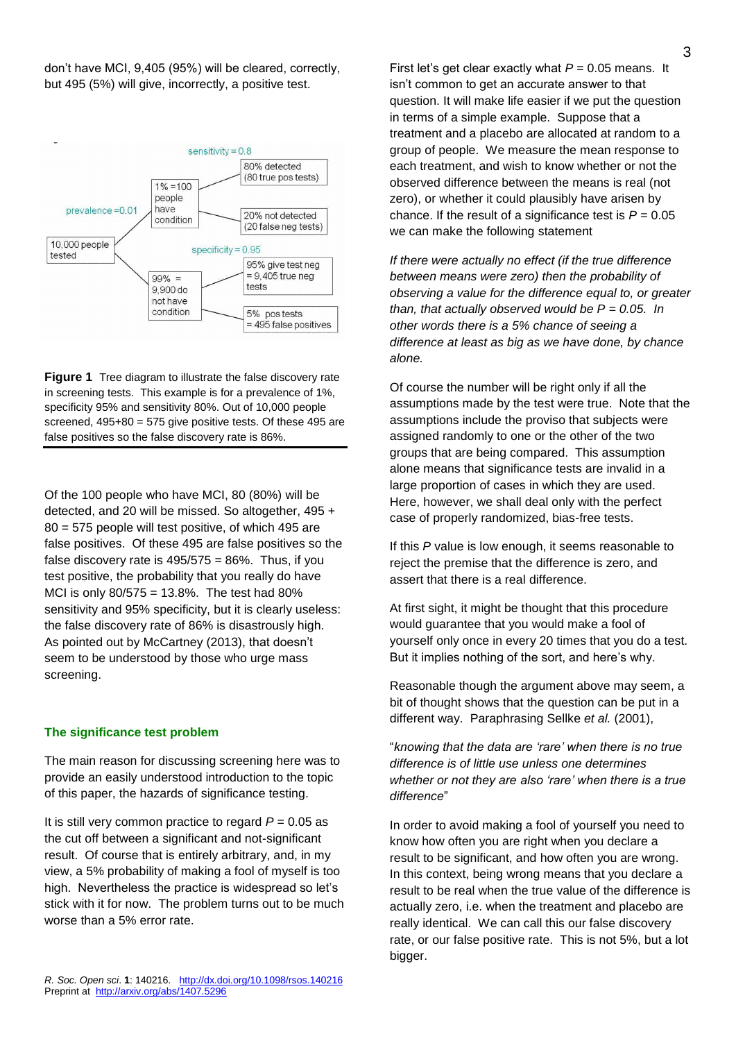don't have MCI, 9,405 (95%) will be cleared, correctly, but 495 (5%) will give, incorrectly, a positive test.



**Figure 1** Tree diagram to illustrate the false discovery rate in screening tests. This example is for a prevalence of 1%, specificity 95% and sensitivity 80%. Out of 10,000 people screened, 495+80 = 575 give positive tests. Of these 495 are false positives so the false discovery rate is 86%.

Of the 100 people who have MCI, 80 (80%) will be detected, and 20 will be missed. So altogether, 495 + 80 = 575 people will test positive, of which 495 are false positives. Of these 495 are false positives so the false discovery rate is  $495/575 = 86\%$ . Thus, if you test positive, the probability that you really do have MCI is only 80/575 = 13.8%. The test had 80% sensitivity and 95% specificity, but it is clearly useless: the false discovery rate of 86% is disastrously high. As pointed out by McCartney (2013), that doesn't seem to be understood by those who urge mass screening.

#### **The significance test problem**

The main reason for discussing screening here was to provide an easily understood introduction to the topic of this paper, the hazards of significance testing.

It is still very common practice to regard  $P = 0.05$  as the cut off between a significant and not-significant result. Of course that is entirely arbitrary, and, in my view, a 5% probability of making a fool of myself is too high. Nevertheless the practice is widespread so let's stick with it for now. The problem turns out to be much worse than a 5% error rate.

First let's get clear exactly what  $P = 0.05$  means. It isn't common to get an accurate answer to that question. It will make life easier if we put the question in terms of a simple example. Suppose that a treatment and a placebo are allocated at random to a group of people. We measure the mean response to each treatment, and wish to know whether or not the observed difference between the means is real (not zero), or whether it could plausibly have arisen by chance. If the result of a significance test is  $P = 0.05$ we can make the following statement

*If there were actually no effect (if the true difference between means were zero) then the probability of observing a value for the difference equal to, or greater than, that actually observed would be P = 0.05. In other words there is a 5% chance of seeing a difference at least as big as we have done, by chance alone.* 

Of course the number will be right only if all the assumptions made by the test were true. Note that the assumptions include the proviso that subjects were assigned randomly to one or the other of the two groups that are being compared. This assumption alone means that significance tests are invalid in a large proportion of cases in which they are used. Here, however, we shall deal only with the perfect case of properly randomized, bias-free tests.

If this *P* value is low enough, it seems reasonable to reject the premise that the difference is zero, and assert that there is a real difference.

At first sight, it might be thought that this procedure would guarantee that you would make a fool of yourself only once in every 20 times that you do a test. But it implies nothing of the sort, and here's why.

Reasonable though the argument above may seem, a bit of thought shows that the question can be put in a different way. Paraphrasing Sellke *et al.* (2001),

"*knowing that the data are 'rare' when there is no true difference is of little use unless one determines whether or not they are also 'rare' when there is a true difference*"

In order to avoid making a fool of yourself you need to know how often you are right when you declare a result to be significant, and how often you are wrong. In this context, being wrong means that you declare a result to be real when the true value of the difference is actually zero, i.e. when the treatment and placebo are really identical. We can call this our false discovery rate, or our false positive rate. This is not 5%, but a lot bigger.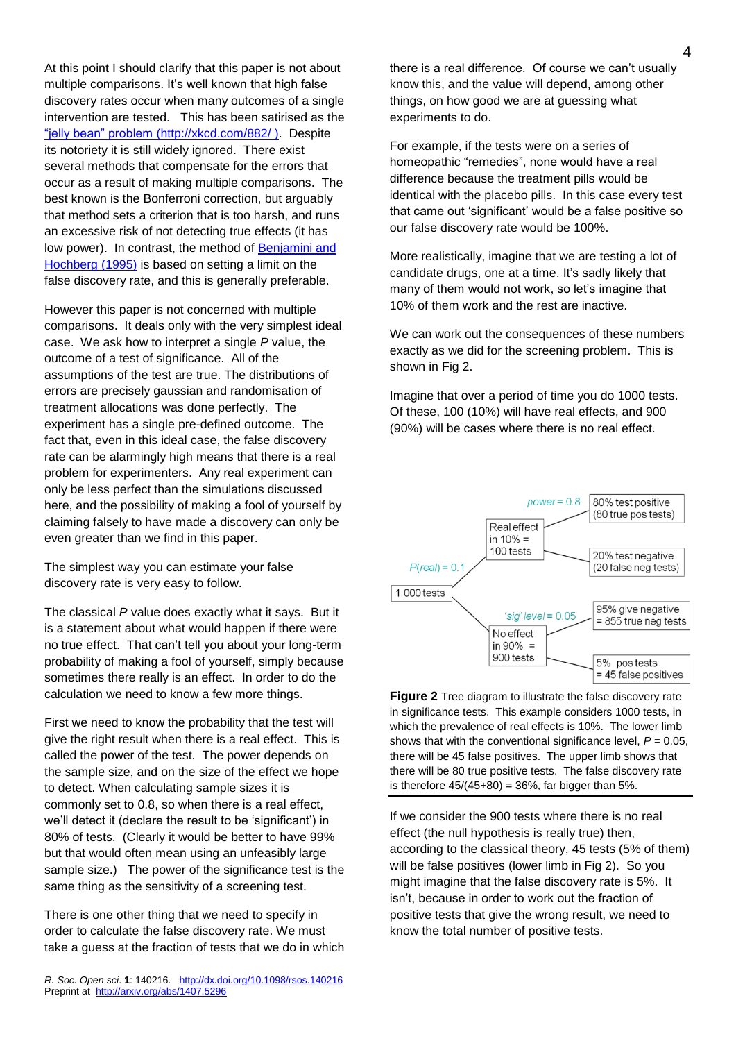At this point I should clarify that this paper is not about multiple comparisons. It's well known that high false discovery rates occur when many outcomes of a single intervention are tested. This has been satirised as the ["jelly bean" problem](http://xkcd.com/882/) [\(http://xkcd.com/882/](http://xkcd.com/882/) ). Despite its notoriety it is still widely ignored. There exist several methods that compensate for the errors that occur as a result of making multiple comparisons. The best known is the Bonferroni correction, but arguably that method sets a criterion that is too harsh, and runs an excessive risk of not detecting true effects (it has low power). In contrast, the method of Benjamini and [Hochberg \(1995\)](http://www.dcscience.net/Benjamini-Hochberg-1995-FDR.pdf) is based on setting a limit on the false discovery rate, and this is generally preferable.

However this paper is not concerned with multiple comparisons. It deals only with the very simplest ideal case. We ask how to interpret a single *P* value, the outcome of a test of significance. All of the assumptions of the test are true. The distributions of errors are precisely gaussian and randomisation of treatment allocations was done perfectly. The experiment has a single pre-defined outcome. The fact that, even in this ideal case, the false discovery rate can be alarmingly high means that there is a real problem for experimenters. Any real experiment can only be less perfect than the simulations discussed here, and the possibility of making a fool of yourself by claiming falsely to have made a discovery can only be even greater than we find in this paper.

The simplest way you can estimate your false discovery rate is very easy to follow.

The classical *P* value does exactly what it says. But it is a statement about what would happen if there were no true effect. That can't tell you about your long-term probability of making a fool of yourself, simply because sometimes there really is an effect. In order to do the calculation we need to know a few more things.

First we need to know the probability that the test will give the right result when there is a real effect. This is called the power of the test. The power depends on the sample size, and on the size of the effect we hope to detect. When calculating sample sizes it is commonly set to 0.8, so when there is a real effect, we'll detect it (declare the result to be 'significant') in 80% of tests. (Clearly it would be better to have 99% but that would often mean using an unfeasibly large sample size.) The power of the significance test is the same thing as the sensitivity of a screening test.

There is one other thing that we need to specify in order to calculate the false discovery rate. We must take a guess at the fraction of tests that we do in which there is a real difference. Of course we can't usually know this, and the value will depend, among other things, on how good we are at guessing what experiments to do.

For example, if the tests were on a series of homeopathic "remedies", none would have a real difference because the treatment pills would be identical with the placebo pills. In this case every test that came out 'significant' would be a false positive so our false discovery rate would be 100%.

More realistically, imagine that we are testing a lot of candidate drugs, one at a time. It's sadly likely that many of them would not work, so let's imagine that 10% of them work and the rest are inactive.

We can work out the consequences of these numbers exactly as we did for the screening problem. This is shown in Fig 2.

Imagine that over a period of time you do 1000 tests. Of these, 100 (10%) will have real effects, and 900 (90%) will be cases where there is no real effect.



**Figure 2** Tree diagram to illustrate the false discovery rate in significance tests. This example considers 1000 tests, in which the prevalence of real effects is 10%. The lower limb shows that with the conventional significance level,  $P = 0.05$ , there will be 45 false positives. The upper limb shows that there will be 80 true positive tests. The false discovery rate is therefore  $45/(45+80) = 36%$ , far bigger than 5%.

If we consider the 900 tests where there is no real effect (the null hypothesis is really true) then, according to the classical theory, 45 tests (5% of them) will be false positives (lower limb in Fig 2). So you might imagine that the false discovery rate is 5%. It isn't, because in order to work out the fraction of positive tests that give the wrong result, we need to know the total number of positive tests.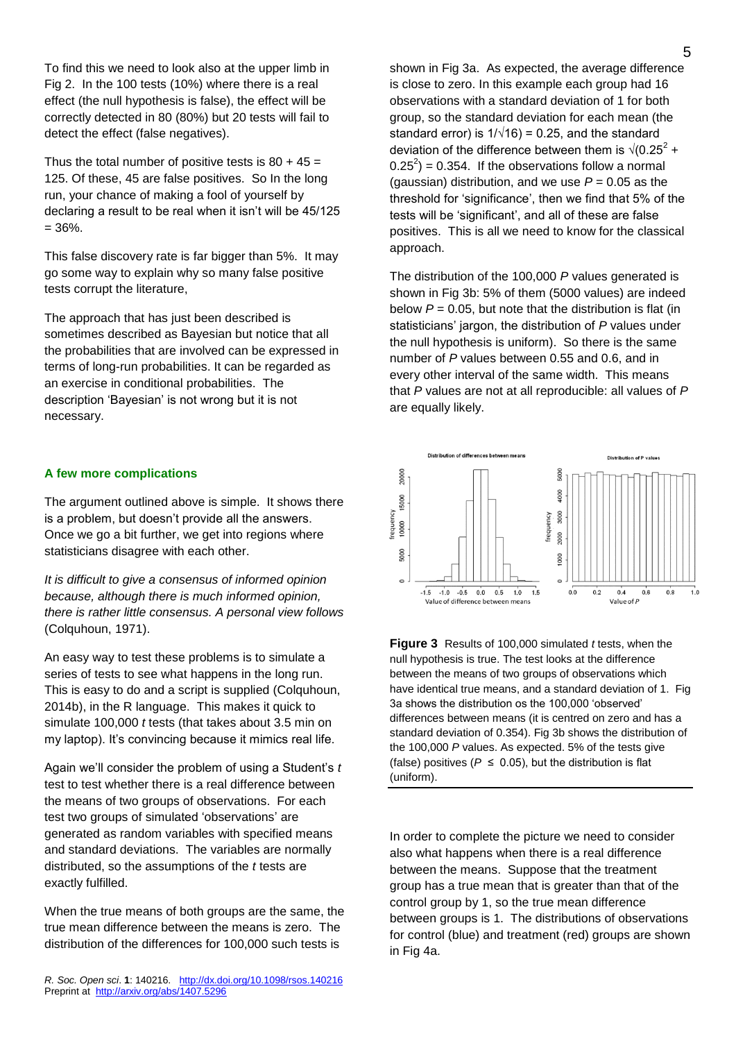To find this we need to look also at the upper limb in Fig 2. In the 100 tests (10%) where there is a real effect (the null hypothesis is false), the effect will be correctly detected in 80 (80%) but 20 tests will fail to detect the effect (false negatives).

Thus the total number of positive tests is  $80 + 45 =$ 125. Of these, 45 are false positives. So In the long run, your chance of making a fool of yourself by declaring a result to be real when it isn't will be 45/125  $= 36\%$ .

This false discovery rate is far bigger than 5%. It may go some way to explain why so many false positive tests corrupt the literature,

The approach that has just been described is sometimes described as Bayesian but notice that all the probabilities that are involved can be expressed in terms of long-run probabilities. It can be regarded as an exercise in conditional probabilities. The description 'Bayesian' is not wrong but it is not necessary.

### **A few more complications**

The argument outlined above is simple. It shows there is a problem, but doesn't provide all the answers. Once we go a bit further, we get into regions where statisticians disagree with each other.

*It is difficult to give a consensus of informed opinion because, although there is much informed opinion, there is rather little consensus. A personal view follows* (Colquhoun, 1971).

An easy way to test these problems is to simulate a series of tests to see what happens in the long run. This is easy to do and a script is supplied (Colquhoun, 2014b), in the R language. This makes it quick to simulate 100,000 *t* tests (that takes about 3.5 min on my laptop). It's convincing because it mimics real life.

Again we'll consider the problem of using a Student's *t*  test to test whether there is a real difference between the means of two groups of observations. For each test two groups of simulated 'observations' are generated as random variables with specified means and standard deviations. The variables are normally distributed, so the assumptions of the *t* tests are exactly fulfilled.

When the true means of both groups are the same, the true mean difference between the means is zero. The distribution of the differences for 100,000 such tests is

*R. Soc. Open sci*. **1**: 140216. <http://dx.doi.org/10.1098/rsos.140216> Preprint at<http://arxiv.org/abs/1407.5296>

shown in Fig 3a. As expected, the average difference is close to zero. In this example each group had 16 observations with a standard deviation of 1 for both group, so the standard deviation for each mean (the standard error) is  $1/\sqrt{16}$  = 0.25, and the standard deviation of the difference between them is  $\sqrt{(0.25)^2 + 1}$  $(0.25^2) = 0.354$ . If the observations follow a normal (gaussian) distribution, and we use  $P = 0.05$  as the threshold for 'significance', then we find that 5% of the tests will be 'significant', and all of these are false positives. This is all we need to know for the classical approach.

The distribution of the 100,000 *P* values generated is shown in Fig 3b: 5% of them (5000 values) are indeed below  $P = 0.05$ , but note that the distribution is flat (in statisticians' jargon, the distribution of *P* values under the null hypothesis is uniform). So there is the same number of *P* values between 0.55 and 0.6, and in every other interval of the same width. This means that *P* values are not at all reproducible: all values of *P* are equally likely.



**Figure 3** Results of 100,000 simulated *t* tests, when the null hypothesis is true. The test looks at the difference between the means of two groups of observations which have identical true means, and a standard deviation of 1. Fig. 3a shows the distribution os the 100,000 'observed' differences between means (it is centred on zero and has a standard deviation of 0.354). Fig 3b shows the distribution of the 100,000 *P* values. As expected. 5% of the tests give (false) positives ( $P \le 0.05$ ), but the distribution is flat (uniform).

In order to complete the picture we need to consider also what happens when there is a real difference between the means. Suppose that the treatment group has a true mean that is greater than that of the control group by 1, so the true mean difference between groups is 1. The distributions of observations for control (blue) and treatment (red) groups are shown in Fig 4a.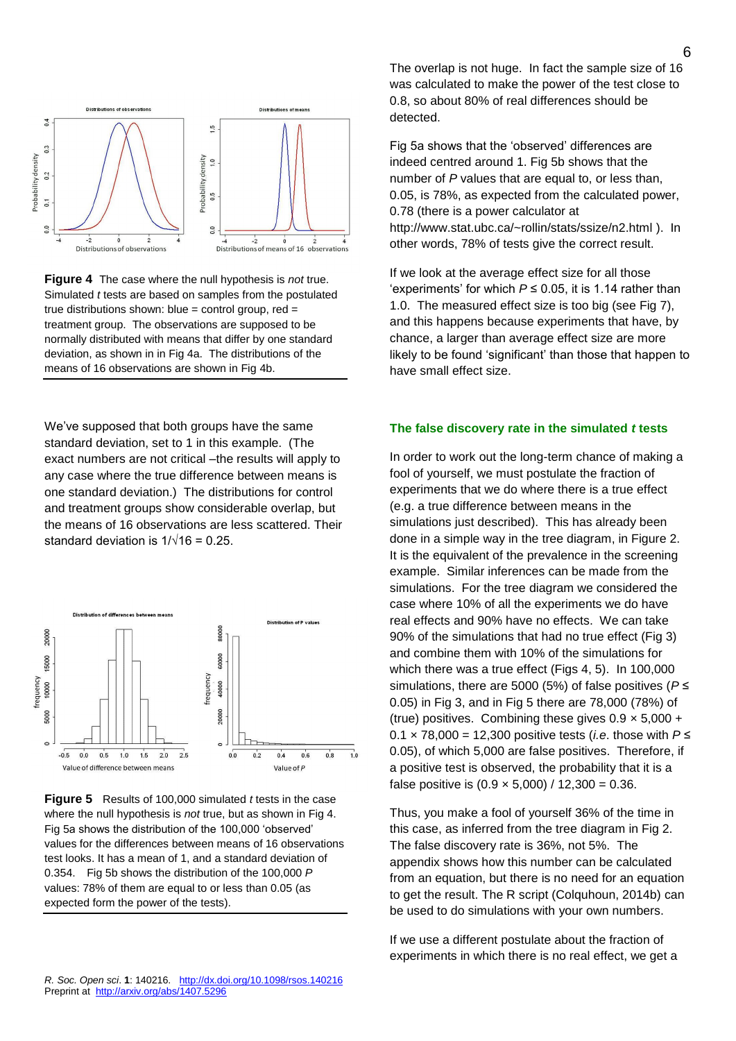

**Figure 4** The case where the null hypothesis is *not* true. Simulated *t* tests are based on samples from the postulated true distributions shown: blue = control group,  $red =$ treatment group. The observations are supposed to be normally distributed with means that differ by one standard deviation, as shown in in Fig 4a. The distributions of the means of 16 observations are shown in Fig 4b.

We've supposed that both groups have the same standard deviation, set to 1 in this example. (The exact numbers are not critical –the results will apply to any case where the true difference between means is one standard deviation.) The distributions for control and treatment groups show considerable overlap, but the means of 16 observations are less scattered. Their standard deviation is  $1/\sqrt{16} = 0.25$ .



**Figure 5** Results of 100,000 simulated *t* tests in the case where the null hypothesis is *not* true, but as shown in Fig 4. Fig 5a shows the distribution of the 100,000 'observed' values for the differences between means of 16 observations test looks. It has a mean of 1, and a standard deviation of 0.354. Fig 5b shows the distribution of the 100,000 *P* values: 78% of them are equal to or less than 0.05 (as expected form the power of the tests).

The overlap is not huge. In fact the sample size of 16 was calculated to make the power of the test close to 0.8, so about 80% of real differences should be detected.

Fig 5a shows that the 'observed' differences are indeed centred around 1. Fig 5b shows that the number of *P* values that are equal to, or less than, 0.05, is 78%, as expected from the calculated power, 0.78 (there is a power calculator at <http://www.stat.ubc.ca/~rollin/stats/ssize/n2.html> ). In other words, 78% of tests give the correct result.

If we look at the average effect size for all those 'experiments' for which  $P \le 0.05$ , it is 1.14 rather than 1.0. The measured effect size is too big (see Fig 7), and this happens because experiments that have, by chance, a larger than average effect size are more likely to be found 'significant' than those that happen to have small effect size.

### **The false discovery rate in the simulated** *t* **tests**

In order to work out the long-term chance of making a fool of yourself, we must postulate the fraction of experiments that we do where there is a true effect (e.g. a true difference between means in the simulations just described). This has already been done in a simple way in the tree diagram, in Figure 2. It is the equivalent of the prevalence in the screening example. Similar inferences can be made from the simulations. For the tree diagram we considered the case where 10% of all the experiments we do have real effects and 90% have no effects. We can take 90% of the simulations that had no true effect (Fig 3) and combine them with 10% of the simulations for which there was a true effect (Figs 4, 5). In 100,000 simulations, there are 5000 (5%) of false positives (*P* ≤ 0.05) in Fig 3, and in Fig 5 there are 78,000 (78%) of (true) positives. Combining these gives  $0.9 \times 5,000 +$ 0.1 × 78,000 = 12,300 positive tests (*i.e*. those with *P* ≤ 0.05), of which 5,000 are false positives. Therefore, if a positive test is observed, the probability that it is a false positive is  $(0.9 \times 5,000)$  / 12,300 = 0.36.

Thus, you make a fool of yourself 36% of the time in this case, as inferred from the tree diagram in Fig 2. The false discovery rate is 36%, not 5%. The appendix shows how this number can be calculated from an equation, but there is no need for an equation to get the result. The R script (Colquhoun, 2014b) can be used to do simulations with your own numbers.

If we use a different postulate about the fraction of experiments in which there is no real effect, we get a

6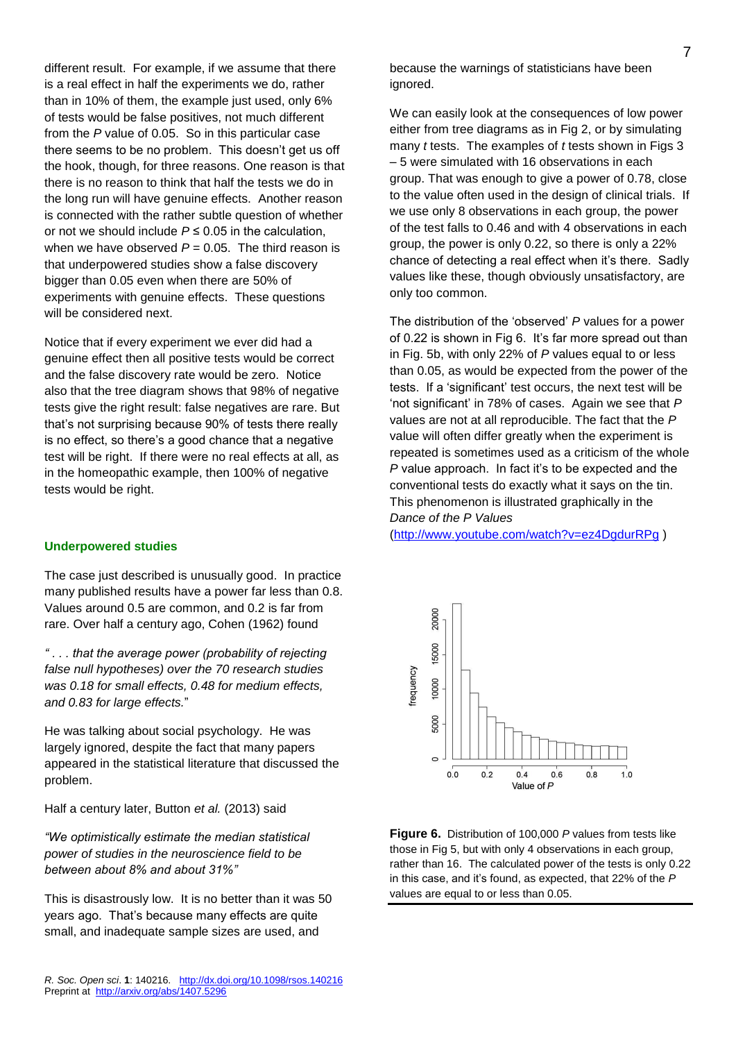different result. For example, if we assume that there is a real effect in half the experiments we do, rather than in 10% of them, the example just used, only 6% of tests would be false positives, not much different from the *P* value of 0.05. So in this particular case there seems to be no problem. This doesn't get us off the hook, though, for three reasons. One reason is that there is no reason to think that half the tests we do in the long run will have genuine effects. Another reason is connected with the rather subtle question of whether or not we should include  $P \le 0.05$  in the calculation. when we have observed  $P = 0.05$ . The third reason is that underpowered studies show a false discovery bigger than 0.05 even when there are 50% of experiments with genuine effects. These questions will be considered next.

Notice that if every experiment we ever did had a genuine effect then all positive tests would be correct and the false discovery rate would be zero. Notice also that the tree diagram shows that 98% of negative tests give the right result: false negatives are rare. But that's not surprising because 90% of tests there really is no effect, so there's a good chance that a negative test will be right. If there were no real effects at all, as in the homeopathic example, then 100% of negative tests would be right.

### **Underpowered studies**

The case just described is unusually good. In practice many published results have a power far less than 0.8. Values around 0.5 are common, and 0.2 is far from rare. Over half a century ago, Cohen (1962) found

*" . . . that the average power (probability of rejecting false null hypotheses) over the 70 research studies was 0.18 for small effects, 0.48 for medium effects, and 0.83 for large effects.*"

He was talking about social psychology. He was largely ignored, despite the fact that many papers appeared in the statistical literature that discussed the problem.

Half a century later, Button *et al.* (2013) said

*"We optimistically estimate the median statistical power of studies in the neuroscience field to be between about 8% and about 31%"*

This is disastrously low. It is no better than it was 50 years ago. That's because many effects are quite small, and inadequate sample sizes are used, and

because the warnings of statisticians have been ignored.

We can easily look at the consequences of low power either from tree diagrams as in Fig 2, or by simulating many *t* tests. The examples of *t* tests shown in Figs 3 – 5 were simulated with 16 observations in each group. That was enough to give a power of 0.78, close to the value often used in the design of clinical trials. If we use only 8 observations in each group, the power of the test falls to 0.46 and with 4 observations in each group, the power is only 0.22, so there is only a 22% chance of detecting a real effect when it's there. Sadly values like these, though obviously unsatisfactory, are only too common.

The distribution of the 'observed' *P* values for a power of 0.22 is shown in Fig 6. It's far more spread out than in Fig. 5b, with only 22% of *P* values equal to or less than 0.05, as would be expected from the power of the tests. If a 'significant' test occurs, the next test will be 'not significant' in 78% of cases. Again we see that *P* values are not at all reproducible. The fact that the *P* value will often differ greatly when the experiment is repeated is sometimes used as a criticism of the whole *P* value approach. In fact it's to be expected and the conventional tests do exactly what it says on the tin. This phenomenon is illustrated graphically in the *Dance of the P Values*

[\(http://www.youtube.com/watch?v=ez4DgdurRPg](http://www.youtube.com/watch?v=ez4DgdurRPg) )



**Figure 6.** Distribution of 100,000 *P* values from tests like those in Fig 5, but with only 4 observations in each group, rather than 16. The calculated power of the tests is only 0.22 in this case, and it's found, as expected, that 22% of the *P* values are equal to or less than 0.05.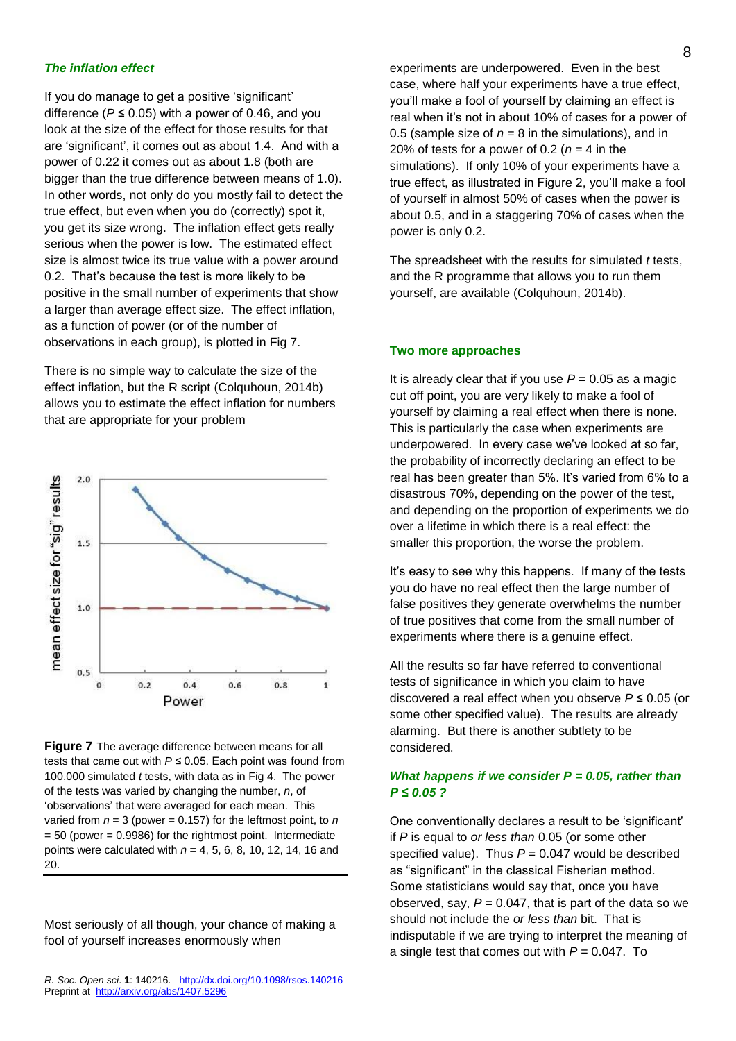#### *The inflation effect*

If you do manage to get a positive 'significant' difference ( $P \le 0.05$ ) with a power of 0.46, and you look at the size of the effect for those results for that are 'significant', it comes out as about 1.4. And with a power of 0.22 it comes out as about 1.8 (both are bigger than the true difference between means of 1.0). In other words, not only do you mostly fail to detect the true effect, but even when you do (correctly) spot it, you get its size wrong. The inflation effect gets really serious when the power is low. The estimated effect size is almost twice its true value with a power around 0.2. That's because the test is more likely to be positive in the small number of experiments that show a larger than average effect size. The effect inflation, as a function of power (or of the number of observations in each group), is plotted in Fig 7.

There is no simple way to calculate the size of the effect inflation, but the R script (Colquhoun, 2014b) allows you to estimate the effect inflation for numbers that are appropriate for your problem



**Figure 7** The average difference between means for all tests that came out with *P* ≤ 0.05. Each point was found from 100,000 simulated *t* tests, with data as in Fig 4. The power of the tests was varied by changing the number, *n*, of 'observations' that were averaged for each mean. This varied from  $n = 3$  (power = 0.157) for the leftmost point, to  $n$  $= 50$  (power  $= 0.9986$ ) for the rightmost point. Intermediate points were calculated with *n* = 4, 5, 6, 8, 10, 12, 14, 16 and 20.

Most seriously of all though, your chance of making a fool of yourself increases enormously when

experiments are underpowered. Even in the best case, where half your experiments have a true effect, you'll make a fool of yourself by claiming an effect is real when it's not in about 10% of cases for a power of 0.5 (sample size of  $n = 8$  in the simulations), and in 20% of tests for a power of 0.2 ( $n = 4$  in the simulations). If only 10% of your experiments have a true effect, as illustrated in Figure 2, you'll make a fool of yourself in almost 50% of cases when the power is about 0.5, and in a staggering 70% of cases when the power is only 0.2.

The spreadsheet with the results for simulated *t* tests, and the R programme that allows you to run them yourself, are available (Colquhoun, 2014b).

#### **Two more approaches**

It is already clear that if you use  $P = 0.05$  as a magic cut off point, you are very likely to make a fool of yourself by claiming a real effect when there is none. This is particularly the case when experiments are underpowered. In every case we've looked at so far, the probability of incorrectly declaring an effect to be real has been greater than 5%. It's varied from 6% to a disastrous 70%, depending on the power of the test, and depending on the proportion of experiments we do over a lifetime in which there is a real effect: the smaller this proportion, the worse the problem.

It's easy to see why this happens. If many of the tests you do have no real effect then the large number of false positives they generate overwhelms the number of true positives that come from the small number of experiments where there is a genuine effect.

All the results so far have referred to conventional tests of significance in which you claim to have discovered a real effect when you observe *P* ≤ 0.05 (or some other specified value). The results are already alarming. But there is another subtlety to be considered.

### *What happens if we consider P = 0.05, rather than P ≤ 0.05 ?*

One conventionally declares a result to be 'significant' if *P* is equal to *or less than* 0.05 (or some other specified value). Thus  $P = 0.047$  would be described as "significant" in the classical Fisherian method. Some statisticians would say that, once you have observed, say,  $P = 0.047$ , that is part of the data so we should not include the *or less than* bit. That is indisputable if we are trying to interpret the meaning of a single test that comes out with  $P = 0.047$ . To

*R. Soc. Open sci*. **1**: 140216. <http://dx.doi.org/10.1098/rsos.140216> Preprint at<http://arxiv.org/abs/1407.5296>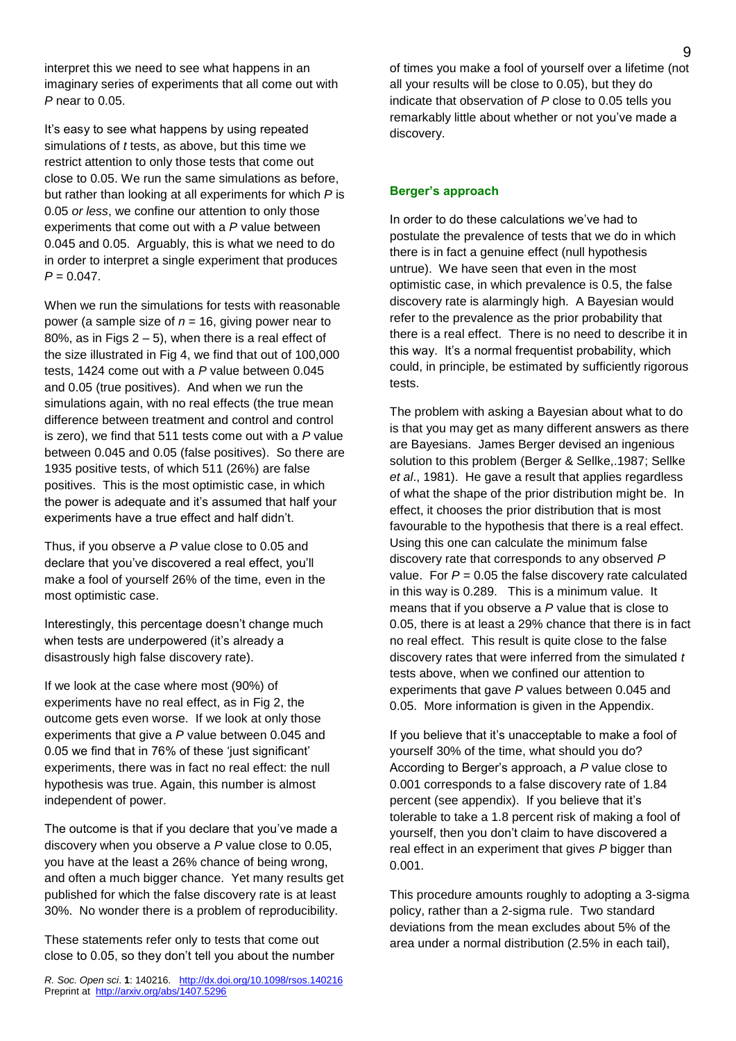interpret this we need to see what happens in an imaginary series of experiments that all come out with *P* near to 0.05.

It's easy to see what happens by using repeated simulations of *t* tests, as above, but this time we restrict attention to only those tests that come out close to 0.05. We run the same simulations as before, but rather than looking at all experiments for which *P* is 0.05 *or less*, we confine our attention to only those experiments that come out with a *P* value between 0.045 and 0.05. Arguably, this is what we need to do in order to interpret a single experiment that produces  $P = 0.047$ .

When we run the simulations for tests with reasonable power (a sample size of *n* = 16, giving power near to 80%, as in Figs  $2 - 5$ ), when there is a real effect of the size illustrated in Fig 4, we find that out of 100,000 tests, 1424 come out with a *P* value between 0.045 and 0.05 (true positives). And when we run the simulations again, with no real effects (the true mean difference between treatment and control and control is zero), we find that 511 tests come out with a *P* value between 0.045 and 0.05 (false positives). So there are 1935 positive tests, of which 511 (26%) are false positives. This is the most optimistic case, in which the power is adequate and it's assumed that half your experiments have a true effect and half didn't.

Thus, if you observe a *P* value close to 0.05 and declare that you've discovered a real effect, you'll make a fool of yourself 26% of the time, even in the most optimistic case.

Interestingly, this percentage doesn't change much when tests are underpowered (it's already a disastrously high false discovery rate).

If we look at the case where most (90%) of experiments have no real effect, as in Fig 2, the outcome gets even worse. If we look at only those experiments that give a *P* value between 0.045 and 0.05 we find that in 76% of these 'just significant' experiments, there was in fact no real effect: the null hypothesis was true. Again, this number is almost independent of power.

The outcome is that if you declare that you've made a discovery when you observe a *P* value close to 0.05, you have at the least a 26% chance of being wrong, and often a much bigger chance. Yet many results get published for which the false discovery rate is at least 30%. No wonder there is a problem of reproducibility.

These statements refer only to tests that come out close to 0.05, so they don't tell you about the number

*R. Soc. Open sci*. **1**: 140216. <http://dx.doi.org/10.1098/rsos.140216> Preprint at<http://arxiv.org/abs/1407.5296>

of times you make a fool of yourself over a lifetime (not all your results will be close to 0.05), but they do indicate that observation of *P* close to 0.05 tells you remarkably little about whether or not you've made a discovery.

### **Berger's approach**

In order to do these calculations we've had to postulate the prevalence of tests that we do in which there is in fact a genuine effect (null hypothesis untrue). We have seen that even in the most optimistic case, in which prevalence is 0.5, the false discovery rate is alarmingly high. A Bayesian would refer to the prevalence as the prior probability that there is a real effect. There is no need to describe it in this way. It's a normal frequentist probability, which could, in principle, be estimated by sufficiently rigorous tests.

The problem with asking a Bayesian about what to do is that you may get as many different answers as there are Bayesians. James Berger devised an ingenious solution to this problem (Berger & Sellke,.1987; Sellke *et al*., 1981). He gave a result that applies regardless of what the shape of the prior distribution might be. In effect, it chooses the prior distribution that is most favourable to the hypothesis that there is a real effect. Using this one can calculate the minimum false discovery rate that corresponds to any observed *P* value. For  $P = 0.05$  the false discovery rate calculated in this way is 0.289. This is a minimum value. It means that if you observe a *P* value that is close to 0.05, there is at least a 29% chance that there is in fact no real effect. This result is quite close to the false discovery rates that were inferred from the simulated *t* tests above, when we confined our attention to experiments that gave *P* values between 0.045 and 0.05. More information is given in the Appendix.

If you believe that it's unacceptable to make a fool of yourself 30% of the time, what should you do? According to Berger's approach, a *P* value close to 0.001 corresponds to a false discovery rate of 1.84 percent (see appendix). If you believe that it's tolerable to take a 1.8 percent risk of making a fool of yourself, then you don't claim to have discovered a real effect in an experiment that gives *P* bigger than 0.001.

This procedure amounts roughly to adopting a 3-sigma policy, rather than a 2-sigma rule. Two standard deviations from the mean excludes about 5% of the area under a normal distribution (2.5% in each tail),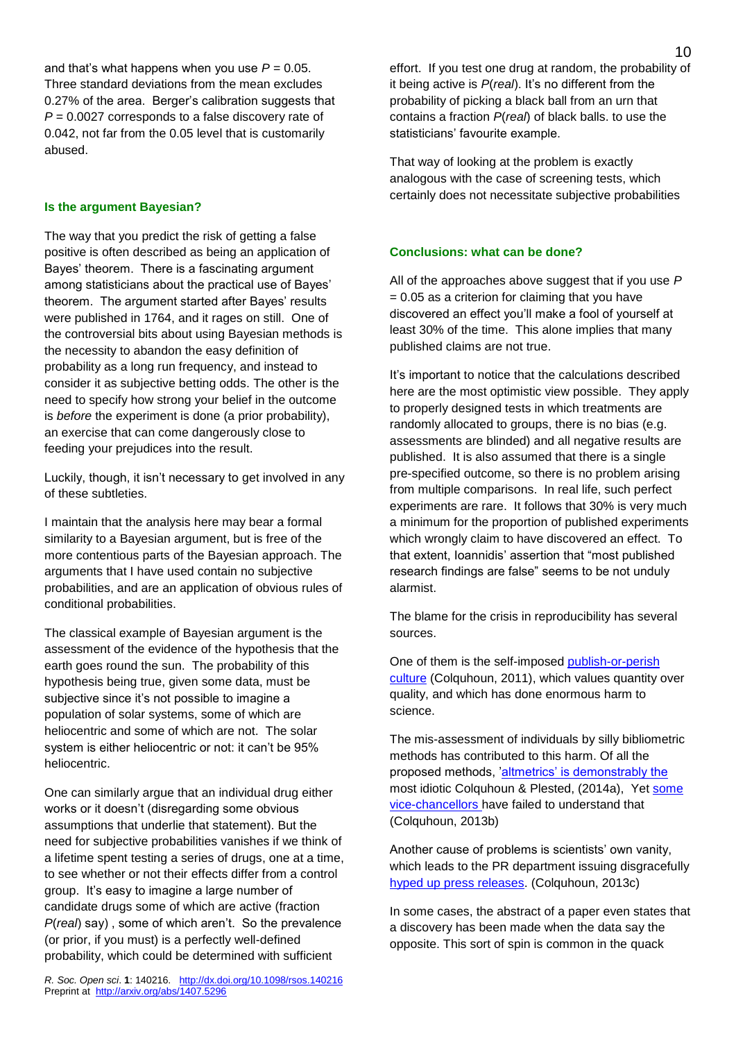and that's what happens when you use  $P = 0.05$ . Three standard deviations from the mean excludes 0.27% of the area. Berger's calibration suggests that *P* = 0.0027 corresponds to a false discovery rate of 0.042, not far from the 0.05 level that is customarily abused.

#### **Is the argument Bayesian?**

The way that you predict the risk of getting a false positive is often described as being an application of Bayes' theorem. There is a fascinating argument among statisticians about the practical use of Bayes' theorem. The argument started after Bayes' results were published in 1764, and it rages on still. One of the controversial bits about using Bayesian methods is the necessity to abandon the easy definition of probability as a long run frequency, and instead to consider it as subjective betting odds. The other is the need to specify how strong your belief in the outcome is *before* the experiment is done (a prior probability), an exercise that can come dangerously close to feeding your prejudices into the result.

Luckily, though, it isn't necessary to get involved in any of these subtleties.

I maintain that the analysis here may bear a formal similarity to a Bayesian argument, but is free of the more contentious parts of the Bayesian approach. The arguments that I have used contain no subjective probabilities, and are an application of obvious rules of conditional probabilities.

The classical example of Bayesian argument is the assessment of the evidence of the hypothesis that the earth goes round the sun. The probability of this hypothesis being true, given some data, must be subjective since it's not possible to imagine a population of solar systems, some of which are heliocentric and some of which are not. The solar system is either heliocentric or not: it can't be 95% heliocentric.

One can similarly argue that an individual drug either works or it doesn't (disregarding some obvious assumptions that underlie that statement). But the need for subjective probabilities vanishes if we think of a lifetime spent testing a series of drugs, one at a time, to see whether or not their effects differ from a control group. It's easy to imagine a large number of candidate drugs some of which are active (fraction *P*(*real*) say) , some of which aren't. So the prevalence (or prior, if you must) is a perfectly well-defined probability, which could be determined with sufficient

*R. Soc. Open sci*. **1**: 140216. <http://dx.doi.org/10.1098/rsos.140216> Preprint at<http://arxiv.org/abs/1407.5296>

effort. If you test one drug at random, the probability of it being active is *P*(*real*). It's no different from the probability of picking a black ball from an urn that contains a fraction *P*(*real*) of black balls. to use the statisticians' favourite example.

That way of looking at the problem is exactly analogous with the case of screening tests, which certainly does not necessitate subjective probabilities

#### **Conclusions: what can be done?**

All of the approaches above suggest that if you use *P*  $= 0.05$  as a criterion for claiming that you have discovered an effect you'll make a fool of yourself at least 30% of the time. This alone implies that many published claims are not true.

It's important to notice that the calculations described here are the most optimistic view possible. They apply to properly designed tests in which treatments are randomly allocated to groups, there is no bias (e.g. assessments are blinded) and all negative results are published. It is also assumed that there is a single pre-specified outcome, so there is no problem arising from multiple comparisons. In real life, such perfect experiments are rare. It follows that 30% is very much a minimum for the proportion of published experiments which wrongly claim to have discovered an effect. To that extent, Ioannidis' assertion that "most published research findings are false" seems to be not unduly alarmist.

The blame for the crisis in reproducibility has several sources.

One of them is the self-imposed [publish-or-perish](http://www.theguardian.com/science/2011/sep/05/publish-perish-peer-review-science)  [culture](http://www.theguardian.com/science/2011/sep/05/publish-perish-peer-review-science) (Colquhoun, 2011), which values quantity over quality, and which has done enormous harm to science.

The mis-assessment of individuals by silly bibliometric methods has contributed to this harm. Of all the proposed methods, ['altmetrics' is demonstrably the](http://www.dcscience.net/?p=6369) most idiotic Colquhoun & Plested, (2014a), Yet [some](http://www.dcscience.net/?s=QMUL)  [vice-chancellors](http://www.dcscience.net/?s=QMUL) have failed to understand that (Colquhoun, 2013b)

Another cause of problems is scientists' own vanity, which leads to the PR department issuing disgracefully [hyped up press releases.](http://www.dcscience.net/?p=156) (Colquhoun, 2013c)

In some cases, the abstract of a paper even states that a discovery has been made when the data say the opposite. This sort of spin is common in the quack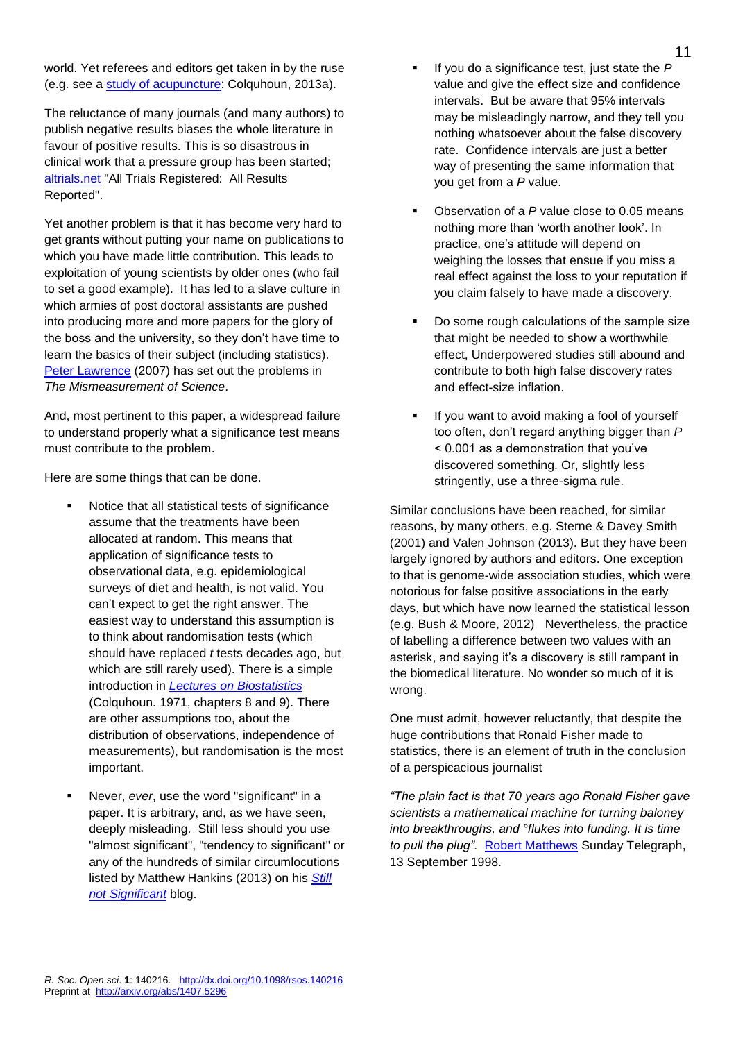world. Yet referees and editors get taken in by the ruse (e.g. see a [study of acupuncture:](http://www.dcscience.net/?p=4439) Colquhoun, 2013a).

The reluctance of many journals (and many authors) to publish negative results biases the whole literature in favour of positive results. This is so disastrous in clinical work that a pressure group has been started; [altrials.net](http://www.alltrials.net/) "All Trials Registered: All Results Reported".

Yet another problem is that it has become very hard to get grants without putting your name on publications to which you have made little contribution. This leads to exploitation of young scientists by older ones (who fail to set a good example). It has led to a slave culture in which armies of post doctoral assistants are pushed into producing more and more papers for the glory of the boss and the university, so they don't have time to learn the basics of their subject (including statistics). [Peter Lawrence](http://www.dcscience.net/?p=186) (2007) has set out the problems in *The Mismeasurement of Science*.

And, most pertinent to this paper, a widespread failure to understand properly what a significance test means must contribute to the problem.

Here are some things that can be done.

- Notice that all statistical tests of significance assume that the treatments have been allocated at random. This means that application of significance tests to observational data, e.g. epidemiological surveys of diet and health, is not valid. You can't expect to get the right answer. The easiest way to understand this assumption is to think about randomisation tests (which should have replaced *t* tests decades ago, but which are still rarely used). There is a simple introduction in *[Lectures on Biostatistics](http://www.dcscience.net/Lectures_on_biostatistics-ocr4.pdf)* (Colquhoun. 1971, chapters 8 and 9). There are other assumptions too, about the distribution of observations, independence of measurements), but randomisation is the most important.
- Never, *ever*, use the word "significant" in a paper. It is arbitrary, and, as we have seen, deeply misleading. Still less should you use "almost significant", "tendency to significant" or any of the hundreds of similar circumlocutions listed by Matthew Hankins (2013) on his *[Still](http://mchankins.wordpress.com/2013/04/21/still-not-significant-2/)  [not Significant](http://mchankins.wordpress.com/2013/04/21/still-not-significant-2/)* blog.
- If you do a significance test, just state the *P* value and give the effect size and confidence intervals. But be aware that 95% intervals may be misleadingly narrow, and they tell you nothing whatsoever about the false discovery rate. Confidence intervals are just a better way of presenting the same information that you get from a *P* value.
- Observation of a *P* value close to 0.05 means nothing more than 'worth another look'. In practice, one's attitude will depend on weighing the losses that ensue if you miss a real effect against the loss to your reputation if you claim falsely to have made a discovery.
- Do some rough calculations of the sample size that might be needed to show a worthwhile effect, Underpowered studies still abound and contribute to both high false discovery rates and effect-size inflation.
- If you want to avoid making a fool of yourself too often, don't regard anything bigger than *P*  < 0.001 as a demonstration that you've discovered something. Or, slightly less stringently, use a three-sigma rule.

Similar conclusions have been reached, for similar reasons, by many others, e.g. Sterne & Davey Smith (2001) and Valen Johnson (2013). But they have been largely ignored by authors and editors. One exception to that is genome-wide association studies, which were notorious for false positive associations in the early days, but which have now learned the statistical lesson (e.g. Bush & Moore, 2012) Nevertheless, the practice of labelling a difference between two values with an asterisk, and saying it's a discovery is still rampant in the biomedical literature. No wonder so much of it is wrong.

One must admit, however reluctantly, that despite the huge contributions that Ronald Fisher made to statistics, there is an element of truth in the conclusion of a perspicacious journalist

*"The plain fact is that 70 years ago Ronald Fisher gave scientists a mathematical machine for turning baloney into breakthroughs, and °flukes into funding. It is time to pull the plug".* [Robert Matthews](http://www2.isye.gatech.edu/~brani/isyebayes/bank/pvalue.pdf) Sunday Telegraph, 13 September 1998.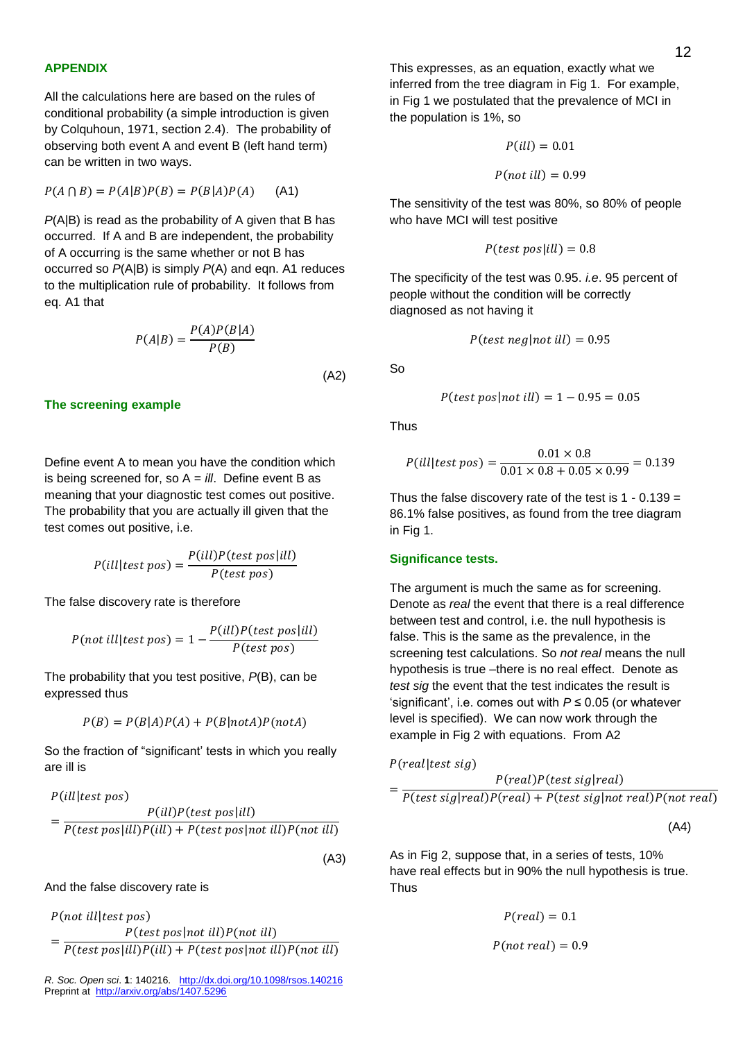All the calculations here are based on the rules of conditional probability (a simple introduction is given by Colquhoun, 1971, section 2.4). The probability of observing both event A and event B (left hand term) can be written in two ways.

$$
P(A \cap B) = P(A|B)P(B) = P(B|A)P(A) \tag{A1}
$$

*P*(A|B) is read as the probability of A given that B has occurred. If A and B are independent, the probability of A occurring is the same whether or not B has occurred so *P*(A|B) is simply *P*(A) and eqn. A1 reduces to the multiplication rule of probability. It follows from eq. A1 that

$$
P(A|B) = \frac{P(A)P(B|A)}{P(B)}
$$
\n(A2)

#### **The screening example**

Define event A to mean you have the condition which is being screened for, so A = *ill*. Define event B as meaning that your diagnostic test comes out positive. The probability that you are actually ill given that the test comes out positive, i.e.

$$
P(ill|test pos) = \frac{P(ill)P(test pos|ill)}{P(test pos)}
$$

The false discovery rate is therefore

$$
P(not\;ill|test\;pos) = 1 - \frac{P(ill)P(test\;pos|ill)}{P(test\;pos)}
$$

The probability that you test positive, *P*(B), can be expressed thus

$$
P(B) = P(B|A)P(A) + P(B|notA)P(notA)
$$

So the fraction of "significant' tests in which you really are ill is

$$
P(ill|test pos)
$$
  
= 
$$
\frac{P(ill)P(test pos|ill)}{P(test pos|ill)P(ill) + P(test pos|not ill)P(not ill)}
$$

(A3)

#### And the false discovery rate is

 $P$ (not ill|test pos)

=  $P(test pos | not ill)P(not ill)$  $P(test pos|ill)P(ill) + P(test pos|not ill)P(not ill)$ 

*R. Soc. Open sci*. **1**: 140216. <http://dx.doi.org/10.1098/rsos.140216> Preprint at<http://arxiv.org/abs/1407.5296>

This expresses, as an equation, exactly what we inferred from the tree diagram in Fig 1. For example, in Fig 1 we postulated that the prevalence of MCI in the population is 1%, so

$$
P(ill) = 0.01
$$

$$
P(not\;ill) = 0.99
$$

The sensitivity of the test was 80%, so 80% of people who have MCI will test positive

$$
P(test pos|ill) = 0.8
$$

The specificity of the test was 0.95. *i.e*. 95 percent of people without the condition will be correctly diagnosed as not having it

$$
P(test\ neg|not\ ill) = 0.95
$$

So

$$
P(test pos|not ill) = 1 - 0.95 = 0.05
$$

Thus

$$
P(ill|test pos) = \frac{0.01 \times 0.8}{0.01 \times 0.8 + 0.05 \times 0.99} = 0.139
$$

Thus the false discovery rate of the test is  $1 - 0.139 =$ 86.1% false positives, as found from the tree diagram in Fig 1.

#### **Significance tests.**

The argument is much the same as for screening. Denote as *real* the event that there is a real difference between test and control, i.e. the null hypothesis is false. This is the same as the prevalence, in the screening test calculations. So *not real* means the null hypothesis is true –there is no real effect. Denote as *test sig* the event that the test indicates the result is 'significant', i.e. comes out with *P* ≤ 0.05 (or whatever level is specified). We can now work through the example in Fig 2 with equations. From A2

 $P (real | test sig)$ 

=

$$
P(\text{real})P(\text{test sig}|\text{real})
$$
  

$$
\frac{P(\text{test sig}|\text{real})P(\text{test sig}|\text{real}) + P(\text{test sig}|\text{test seg})P(\text{test sig}|\text{real})}{P(\text{test sig}|\text{test seg})P(\text{test sig}|\text{real})}
$$

$$
P(test sig|real)P-real) + P(test sig|not real)P(not real)
$$

(A4)

As in Fig 2, suppose that, in a series of tests, 10% have real effects but in 90% the null hypothesis is true. **Thus** 

$$
P(\mathit{real})=0.1
$$

$$
P(not\ real) = 0.9
$$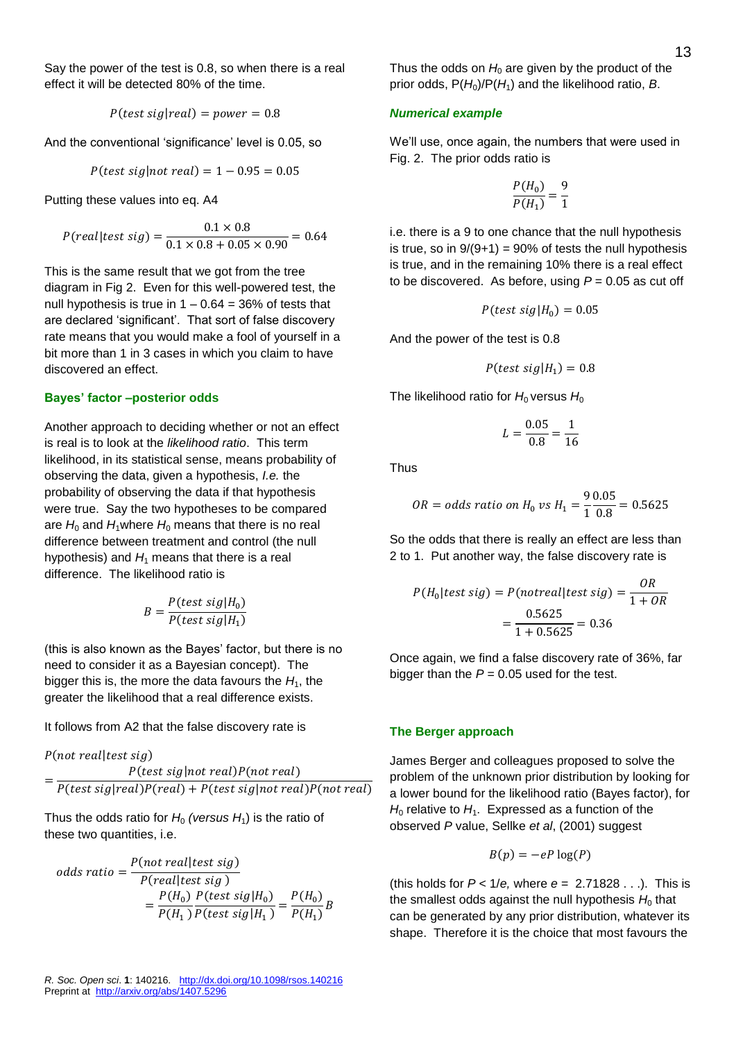Say the power of the test is 0.8, so when there is a real effect it will be detected 80% of the time.

$$
P(test sig|real) = power = 0.8
$$

And the conventional 'significance' level is 0.05, so

$$
P(test sig | not real) = 1 - 0.95 = 0.05
$$

Putting these values into eq. A4

$$
P(\text{real}|\text{test sig}) = \frac{0.1 \times 0.8}{0.1 \times 0.8 + 0.05 \times 0.90} = 0.64
$$

This is the same result that we got from the tree diagram in Fig 2. Even for this well-powered test, the null hypothesis is true in  $1 - 0.64 = 36\%$  of tests that are declared 'significant'. That sort of false discovery rate means that you would make a fool of yourself in a bit more than 1 in 3 cases in which you claim to have discovered an effect.

### **Bayes' factor –posterior odds**

Another approach to deciding whether or not an effect is real is to look at the *likelihood ratio*. This term likelihood, in its statistical sense, means probability of observing the data, given a hypothesis, *I.e.* the probability of observing the data if that hypothesis were true. Say the two hypotheses to be compared are  $H_0$  and  $H_1$ where  $H_0$  means that there is no real difference between treatment and control (the null hypothesis) and  $H_1$  means that there is a real difference. The likelihood ratio is

$$
B = \frac{P(test \text{ sig}|H_0)}{P(test \text{ sig}|H_1)}
$$

(this is also known as the Bayes' factor, but there is no need to consider it as a Bayesian concept). The bigger this is, the more the data favours the  $H_1$ , the greater the likelihood that a real difference exists.

It follows from A2 that the false discovery rate is

 $P($ *not real* $|$ *test sig* $)$ 

$$
= \frac{P(test sig|not real)P(not real)}{P(test sig|real)P-real) + P(test sig|not real)P(not real)}
$$

Thus the odds ratio for  $H_0$  *(versus*  $H_1$ ) is the ratio of these two quantities, i.e.

odds ratio = 
$$
\frac{P(not real|test sig)}{P-real|test sig}
$$

$$
= \frac{P(H_0) P(test sig|H_0)}{P(H_1) P(test sig|H_1)} = \frac{P(H_0)}{P(H_1)}B
$$

Thus the odds on  $H_0$  are given by the product of the prior odds,  $P(H_0)/P(H_1)$  and the likelihood ratio, *B*.

### *Numerical example*

We'll use, once again, the numbers that were used in Fig. 2. The prior odds ratio is

$$
\frac{P(H_0)}{P(H_1)} = \frac{9}{1}
$$

i.e. there is a 9 to one chance that the null hypothesis is true, so in  $9/(9+1) = 90\%$  of tests the null hypothesis is true, and in the remaining 10% there is a real effect to be discovered. As before, using  $P = 0.05$  as cut off

$$
P(test \; sig | H_0) = 0.05
$$

And the power of the test is 0.8

$$
P(test sig | H_1) = 0.8
$$

The likelihood ratio for  $H_0$  versus  $H_0$ 

$$
L = \frac{0.05}{0.8} = \frac{1}{16}
$$

Thus

$$
OR = odds ratio on H_0 vs H_1 = \frac{90.05}{10.8} = 0.5625
$$

So the odds that there is really an effect are less than 2 to 1. Put another way, the false discovery rate is

$$
P(H_0|test\ sig) = P(notreal|test\ sig) = \frac{OR}{1 + OR}
$$

$$
= \frac{0.5625}{1 + 0.5625} = 0.36
$$

Once again, we find a false discovery rate of 36%, far bigger than the  $P = 0.05$  used for the test.

#### **The Berger approach**

James Berger and colleagues proposed to solve the problem of the unknown prior distribution by looking for a lower bound for the likelihood ratio (Bayes factor), for  $H_0$  relative to  $H_1$ . Expressed as a function of the observed *P* value, Sellke *et al*, (2001) suggest

$$
B(p) = -eP \log(P)
$$

(this holds for *P* < 1/*e,* where *e* = 2.71828 . . .). This is the smallest odds against the null hypothesis  $H_0$  that can be generated by any prior distribution, whatever its shape. Therefore it is the choice that most favours the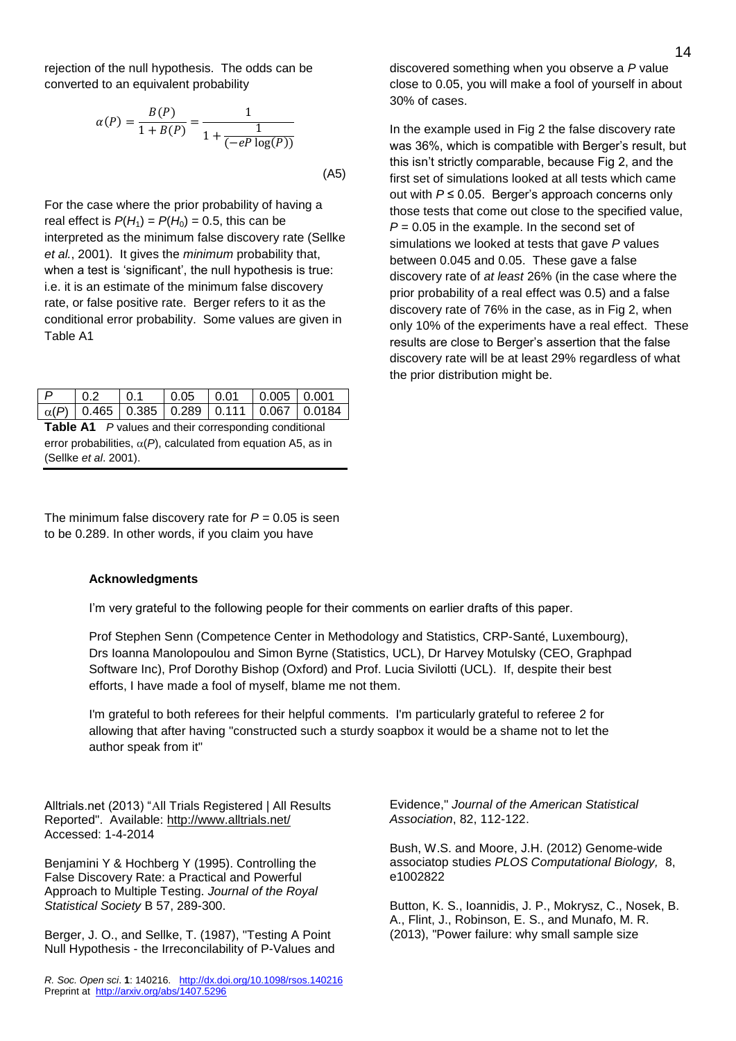rejection of the null hypothesis. The odds can be converted to an equivalent probability

$$
\alpha(P) = \frac{B(P)}{1 + B(P)} = \frac{1}{1 + \frac{1}{(-eP \log(P))}}
$$
\n(A5)

For the case where the prior probability of having a real effect is  $P(H_1) = P(H_0) = 0.5$ , this can be interpreted as the minimum false discovery rate (Sellke *et al.*, 2001). It gives the *minimum* probability that, when a test is 'significant', the null hypothesis is true: i.e. it is an estimate of the minimum false discovery rate, or false positive rate. Berger refers to it as the conditional error probability. Some values are given in Table A1

| D                                                            | $\binom{0.2}{0.2}$ | $\mid$ 0.1 |  | $\vert 0.05 \vert 0.01 \vert 0.005 \vert 0.001$ |  |                                                  |
|--------------------------------------------------------------|--------------------|------------|--|-------------------------------------------------|--|--------------------------------------------------|
|                                                              |                    |            |  |                                                 |  | $\alpha(P)$ 0.465 0.385 0.289 0.111 0.067 0.0184 |
| <b>Table A1</b> P values and their corresponding conditional |                    |            |  |                                                 |  |                                                  |

error probabilities,  $\alpha(P)$ , calculated from equation A5, as in (Sellke *et al*. 2001).

The minimum false discovery rate for *P =* 0.05 is seen to be 0.289. In other words, if you claim you have

#### **Acknowledgments**

I'm very grateful to the following people for their comments on earlier drafts of this paper.

Prof Stephen Senn (Competence Center in Methodology and Statistics, CRP-Santé, Luxembourg), Drs Ioanna Manolopoulou and Simon Byrne (Statistics, UCL), Dr Harvey Motulsky (CEO, Graphpad Software Inc), Prof Dorothy Bishop (Oxford) and Prof. Lucia Sivilotti (UCL). If, despite their best efforts, I have made a fool of myself, blame me not them.

I'm grateful to both referees for their helpful comments. I'm particularly grateful to referee 2 for allowing that after having "constructed such a sturdy soapbox it would be a shame not to let the author speak from it"

Alltrials.net (2013) "All Trials Registered | All Results Reported". Available: http://www.alltrials.net/ Accessed: 1-4-2014

Benjamini Y & Hochberg Y (1995). Controlling the False Discovery Rate: a Practical and Powerful Approach to Multiple Testing. *Journal of the Royal Statistical Society* B 57, 289-300.

Berger, J. O., and Sellke, T. (1987), "Testing A Point Null Hypothesis - the Irreconcilability of P-Values and

*R. Soc. Open sci*. **1**: 140216. <http://dx.doi.org/10.1098/rsos.140216> Preprint at<http://arxiv.org/abs/1407.5296>

discovered something when you observe a *P* value close to 0.05, you will make a fool of yourself in about 30% of cases.

In the example used in Fig 2 the false discovery rate was 36%, which is compatible with Berger's result, but this isn't strictly comparable, because Fig 2, and the first set of simulations looked at all tests which came out with *P* ≤ 0.05. Berger's approach concerns only those tests that come out close to the specified value,  $P = 0.05$  in the example. In the second set of simulations we looked at tests that gave *P* values between 0.045 and 0.05. These gave a false discovery rate of *at least* 26% (in the case where the prior probability of a real effect was 0.5) and a false discovery rate of 76% in the case, as in Fig 2, when only 10% of the experiments have a real effect. These results are close to Berger's assertion that the false discovery rate will be at least 29% regardless of what the prior distribution might be.

Evidence," *Journal of the American Statistical Association*, 82, 112-122.

Bush, W.S. and Moore, J.H. (2012) Genome-wide associatop studies *PLOS Computational Biology,* 8, e1002822

Button, K. S., Ioannidis, J. P., Mokrysz, C., Nosek, B. A., Flint, J., Robinson, E. S., and Munafo, M. R. (2013), "Power failure: why small sample size